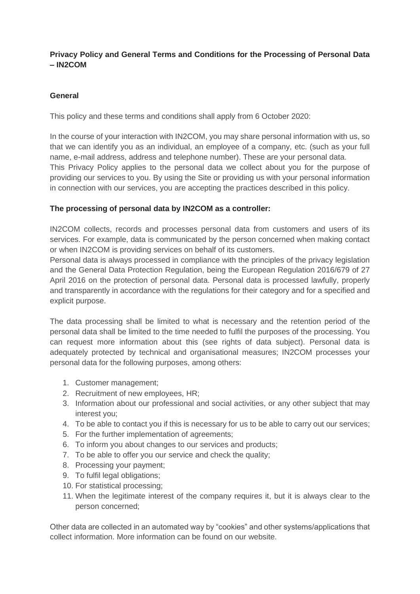# **Privacy Policy and General Terms and Conditions for the Processing of Personal Data – IN2COM**

# **General**

This policy and these terms and conditions shall apply from 6 October 2020:

In the course of your interaction with IN2COM, you may share personal information with us, so that we can identify you as an individual, an employee of a company, etc. (such as your full name, e-mail address, address and telephone number). These are your personal data. This Privacy Policy applies to the personal data we collect about you for the purpose of providing our services to you. By using the Site or providing us with your personal information in connection with our services, you are accepting the practices described in this policy.

## **The processing of personal data by IN2COM as a controller:**

IN2COM collects, records and processes personal data from customers and users of its services. For example, data is communicated by the person concerned when making contact or when IN2COM is providing services on behalf of its customers.

Personal data is always processed in compliance with the principles of the privacy legislation and the General Data Protection Regulation, being the European Regulation 2016/679 of 27 April 2016 on the protection of personal data. Personal data is processed lawfully, properly and transparently in accordance with the regulations for their category and for a specified and explicit purpose.

The data processing shall be limited to what is necessary and the retention period of the personal data shall be limited to the time needed to fulfil the purposes of the processing. You can request more information about this (see rights of data subject). Personal data is adequately protected by technical and organisational measures; IN2COM processes your personal data for the following purposes, among others:

- 1. Customer management;
- 2. Recruitment of new employees, HR;
- 3. Information about our professional and social activities, or any other subject that may interest you;
- 4. To be able to contact you if this is necessary for us to be able to carry out our services;
- 5. For the further implementation of agreements;
- 6. To inform you about changes to our services and products;
- 7. To be able to offer you our service and check the quality;
- 8. Processing your payment;
- 9. To fulfil legal obligations;
- 10. For statistical processing;
- 11. When the legitimate interest of the company requires it, but it is always clear to the person concerned;

Other data are collected in an automated way by "cookies" and other systems/applications that collect information. More information can be found on our website.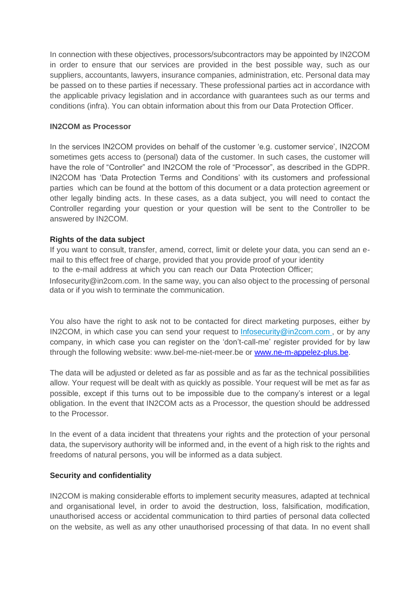In connection with these objectives, processors/subcontractors may be appointed by IN2COM in order to ensure that our services are provided in the best possible way, such as our suppliers, accountants, lawyers, insurance companies, administration, etc. Personal data may be passed on to these parties if necessary. These professional parties act in accordance with the applicable privacy legislation and in accordance with guarantees such as our terms and conditions (infra). You can obtain information about this from our Data Protection Officer.

### **IN2COM as Processor**

In the services IN2COM provides on behalf of the customer 'e.g. customer service', IN2COM sometimes gets access to (personal) data of the customer. In such cases, the customer will have the role of "Controller" and IN2COM the role of "Processor", as described in the GDPR. IN2COM has 'Data Protection Terms and Conditions' with its customers and professional parties which can be found at the bottom of this document or a data protection agreement or other legally binding acts. In these cases, as a data subject, you will need to contact the Controller regarding your question or your question will be sent to the Controller to be answered by IN2COM.

## **Rights of the data subject**

If you want to consult, transfer, amend, correct, limit or delete your data, you can send an email to this effect free of charge, provided that you provide proof of your identity

to the e-mail address at which you can reach our Data Protection Officer;

Infosecurity@in2com.com. In the same way, you can also object to the processing of personal data or if you wish to terminate the communication.

You also have the right to ask not to be contacted for direct marketing purposes, either by IN2COM, in which case you can send your request to [Infosecurity@in2com.com](mailto:DPO@ipggroup.eu) , or by any company, in which case you can register on the 'don't-call-me' register provided for by law through the following website: www.bel-me-niet-meer.be or [www.ne-m-appelez-plus.be.](http://www.ne-m-appelez-plus.be/)

The data will be adjusted or deleted as far as possible and as far as the technical possibilities allow. Your request will be dealt with as quickly as possible. Your request will be met as far as possible, except if this turns out to be impossible due to the company's interest or a legal obligation. In the event that IN2COM acts as a Processor, the question should be addressed to the Processor.

In the event of a data incident that threatens your rights and the protection of your personal data, the supervisory authority will be informed and, in the event of a high risk to the rights and freedoms of natural persons, you will be informed as a data subject.

### **Security and confidentiality**

IN2COM is making considerable efforts to implement security measures, adapted at technical and organisational level, in order to avoid the destruction, loss, falsification, modification, unauthorised access or accidental communication to third parties of personal data collected on the website, as well as any other unauthorised processing of that data. In no event shall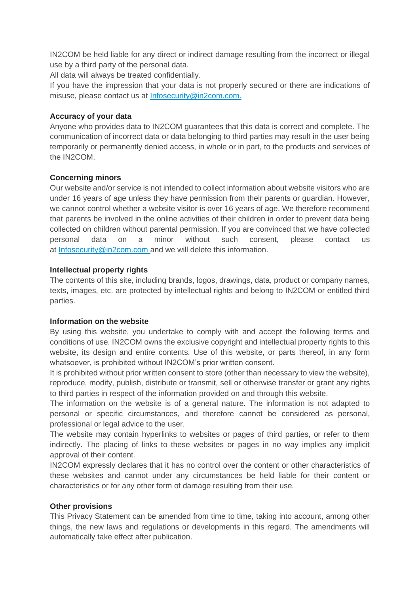IN2COM be held liable for any direct or indirect damage resulting from the incorrect or illegal use by a third party of the personal data.

All data will always be treated confidentially.

If you have the impression that your data is not properly secured or there are indications of misuse, please contact us at [Infosecurity@in2com.com.](mailto:DPO@ipggroup.eu)

## **Accuracy of your data**

Anyone who provides data to IN2COM guarantees that this data is correct and complete. The communication of incorrect data or data belonging to third parties may result in the user being temporarily or permanently denied access, in whole or in part, to the products and services of the IN2COM.

# **Concerning minors**

Our website and/or service is not intended to collect information about website visitors who are under 16 years of age unless they have permission from their parents or guardian. However, we cannot control whether a website visitor is over 16 years of age. We therefore recommend that parents be involved in the online activities of their children in order to prevent data being collected on children without parental permission. If you are convinced that we have collected personal data on a minor without such consent, please contact us at [Infosecurity@in2com.com](mailto:DPO@ipggroup.eu) and we will delete this information.

### **Intellectual property rights**

The contents of this site, including brands, logos, drawings, data, product or company names, texts, images, etc. are protected by intellectual rights and belong to IN2COM or entitled third parties.

### **Information on the website**

By using this website, you undertake to comply with and accept the following terms and conditions of use. IN2COM owns the exclusive copyright and intellectual property rights to this website, its design and entire contents. Use of this website, or parts thereof, in any form whatsoever, is prohibited without IN2COM's prior written consent.

It is prohibited without prior written consent to store (other than necessary to view the website), reproduce, modify, publish, distribute or transmit, sell or otherwise transfer or grant any rights to third parties in respect of the information provided on and through this website.

The information on the website is of a general nature. The information is not adapted to personal or specific circumstances, and therefore cannot be considered as personal, professional or legal advice to the user.

The website may contain hyperlinks to websites or pages of third parties, or refer to them indirectly. The placing of links to these websites or pages in no way implies any implicit approval of their content.

IN2COM expressly declares that it has no control over the content or other characteristics of these websites and cannot under any circumstances be held liable for their content or characteristics or for any other form of damage resulting from their use.

### **Other provisions**

This Privacy Statement can be amended from time to time, taking into account, among other things, the new laws and regulations or developments in this regard. The amendments will automatically take effect after publication.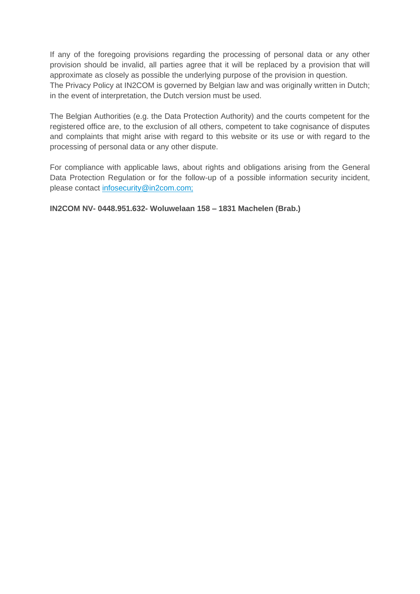If any of the foregoing provisions regarding the processing of personal data or any other provision should be invalid, all parties agree that it will be replaced by a provision that will approximate as closely as possible the underlying purpose of the provision in question. The Privacy Policy at IN2COM is governed by Belgian law and was originally written in Dutch; in the event of interpretation, the Dutch version must be used.

The Belgian Authorities (e.g. the Data Protection Authority) and the courts competent for the registered office are, to the exclusion of all others, competent to take cognisance of disputes and complaints that might arise with regard to this website or its use or with regard to the processing of personal data or any other dispute.

For compliance with applicable laws, about rights and obligations arising from the General Data Protection Regulation or for the follow-up of a possible information security incident, please contact [infosecurity@in2com.com;](mailto:dpo@ipggroup.eu)

**IN2COM NV- 0448.951.632- Woluwelaan 158 – 1831 Machelen (Brab.)**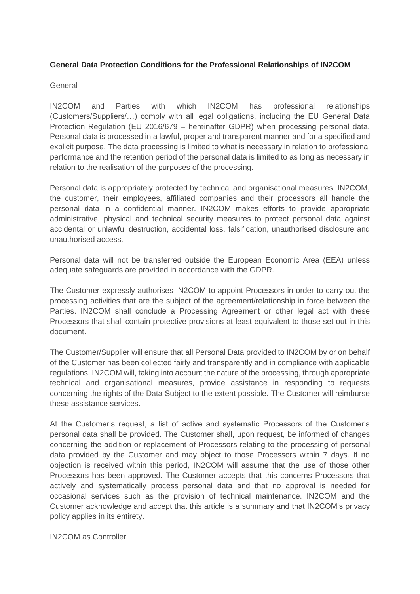## **General Data Protection Conditions for the Professional Relationships of IN2COM**

### **General**

IN2COM and Parties with which IN2COM has professional relationships (Customers/Suppliers/…) comply with all legal obligations, including the EU General Data Protection Regulation (EU 2016/679 – hereinafter GDPR) when processing personal data. Personal data is processed in a lawful, proper and transparent manner and for a specified and explicit purpose. The data processing is limited to what is necessary in relation to professional performance and the retention period of the personal data is limited to as long as necessary in relation to the realisation of the purposes of the processing.

Personal data is appropriately protected by technical and organisational measures. IN2COM, the customer, their employees, affiliated companies and their processors all handle the personal data in a confidential manner. IN2COM makes efforts to provide appropriate administrative, physical and technical security measures to protect personal data against accidental or unlawful destruction, accidental loss, falsification, unauthorised disclosure and unauthorised access.

Personal data will not be transferred outside the European Economic Area (EEA) unless adequate safeguards are provided in accordance with the GDPR.

The Customer expressly authorises IN2COM to appoint Processors in order to carry out the processing activities that are the subject of the agreement/relationship in force between the Parties. IN2COM shall conclude a Processing Agreement or other legal act with these Processors that shall contain protective provisions at least equivalent to those set out in this document.

The Customer/Supplier will ensure that all Personal Data provided to IN2COM by or on behalf of the Customer has been collected fairly and transparently and in compliance with applicable regulations. IN2COM will, taking into account the nature of the processing, through appropriate technical and organisational measures, provide assistance in responding to requests concerning the rights of the Data Subject to the extent possible. The Customer will reimburse these assistance services.

At the Customer's request, a list of active and systematic Processors of the Customer's personal data shall be provided. The Customer shall, upon request, be informed of changes concerning the addition or replacement of Processors relating to the processing of personal data provided by the Customer and may object to those Processors within 7 days. If no objection is received within this period, IN2COM will assume that the use of those other Processors has been approved. The Customer accepts that this concerns Processors that actively and systematically process personal data and that no approval is needed for occasional services such as the provision of technical maintenance. IN2COM and the Customer acknowledge and accept that this article is a summary and that IN2COM's privacy policy applies in its entirety.

### IN2COM as Controller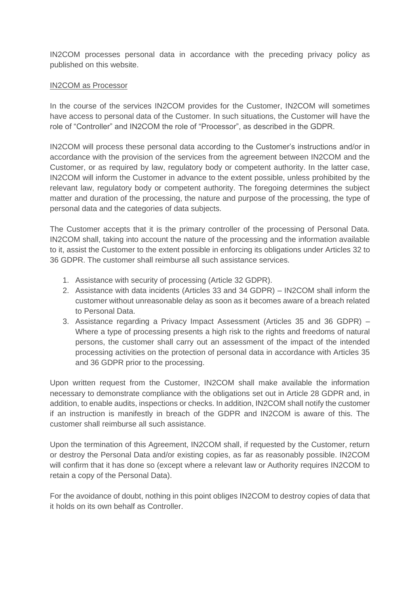IN2COM processes personal data in accordance with the preceding privacy policy as published on this website.

### IN2COM as Processor

In the course of the services IN2COM provides for the Customer, IN2COM will sometimes have access to personal data of the Customer. In such situations, the Customer will have the role of "Controller" and IN2COM the role of "Processor", as described in the GDPR.

IN2COM will process these personal data according to the Customer's instructions and/or in accordance with the provision of the services from the agreement between IN2COM and the Customer, or as required by law, regulatory body or competent authority. In the latter case, IN2COM will inform the Customer in advance to the extent possible, unless prohibited by the relevant law, regulatory body or competent authority. The foregoing determines the subject matter and duration of the processing, the nature and purpose of the processing, the type of personal data and the categories of data subjects.

The Customer accepts that it is the primary controller of the processing of Personal Data. IN2COM shall, taking into account the nature of the processing and the information available to it, assist the Customer to the extent possible in enforcing its obligations under Articles 32 to 36 GDPR. The customer shall reimburse all such assistance services.

- 1. Assistance with security of processing (Article 32 GDPR).
- 2. Assistance with data incidents (Articles 33 and 34 GDPR) IN2COM shall inform the customer without unreasonable delay as soon as it becomes aware of a breach related to Personal Data.
- 3. Assistance regarding a Privacy Impact Assessment (Articles 35 and 36 GDPR) Where a type of processing presents a high risk to the rights and freedoms of natural persons, the customer shall carry out an assessment of the impact of the intended processing activities on the protection of personal data in accordance with Articles 35 and 36 GDPR prior to the processing.

Upon written request from the Customer, IN2COM shall make available the information necessary to demonstrate compliance with the obligations set out in Article 28 GDPR and, in addition, to enable audits, inspections or checks. In addition, IN2COM shall notify the customer if an instruction is manifestly in breach of the GDPR and IN2COM is aware of this. The customer shall reimburse all such assistance.

Upon the termination of this Agreement, IN2COM shall, if requested by the Customer, return or destroy the Personal Data and/or existing copies, as far as reasonably possible. IN2COM will confirm that it has done so (except where a relevant law or Authority requires IN2COM to retain a copy of the Personal Data).

For the avoidance of doubt, nothing in this point obliges IN2COM to destroy copies of data that it holds on its own behalf as Controller.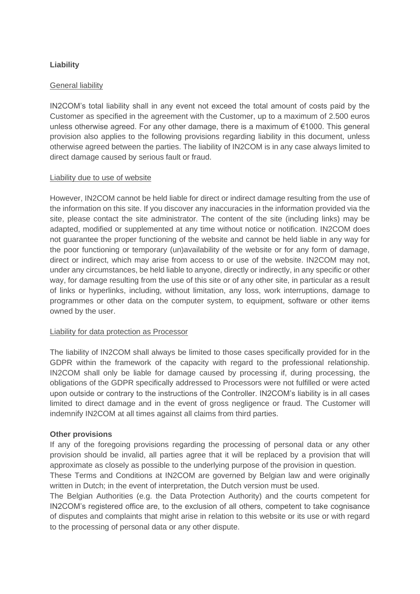# **Liability**

### General liability

IN2COM's total liability shall in any event not exceed the total amount of costs paid by the Customer as specified in the agreement with the Customer, up to a maximum of 2.500 euros unless otherwise agreed. For any other damage, there is a maximum of €1000. This general provision also applies to the following provisions regarding liability in this document, unless otherwise agreed between the parties. The liability of IN2COM is in any case always limited to direct damage caused by serious fault or fraud.

### Liability due to use of website

However, IN2COM cannot be held liable for direct or indirect damage resulting from the use of the information on this site. If you discover any inaccuracies in the information provided via the site, please contact the site administrator. The content of the site (including links) may be adapted, modified or supplemented at any time without notice or notification. IN2COM does not guarantee the proper functioning of the website and cannot be held liable in any way for the poor functioning or temporary (un)availability of the website or for any form of damage, direct or indirect, which may arise from access to or use of the website. IN2COM may not, under any circumstances, be held liable to anyone, directly or indirectly, in any specific or other way, for damage resulting from the use of this site or of any other site, in particular as a result of links or hyperlinks, including, without limitation, any loss, work interruptions, damage to programmes or other data on the computer system, to equipment, software or other items owned by the user.

### Liability for data protection as Processor

The liability of IN2COM shall always be limited to those cases specifically provided for in the GDPR within the framework of the capacity with regard to the professional relationship. IN2COM shall only be liable for damage caused by processing if, during processing, the obligations of the GDPR specifically addressed to Processors were not fulfilled or were acted upon outside or contrary to the instructions of the Controller. IN2COM's liability is in all cases limited to direct damage and in the event of gross negligence or fraud. The Customer will indemnify IN2COM at all times against all claims from third parties.

### **Other provisions**

If any of the foregoing provisions regarding the processing of personal data or any other provision should be invalid, all parties agree that it will be replaced by a provision that will approximate as closely as possible to the underlying purpose of the provision in question.

These Terms and Conditions at IN2COM are governed by Belgian law and were originally written in Dutch; in the event of interpretation, the Dutch version must be used.

The Belgian Authorities (e.g. the Data Protection Authority) and the courts competent for IN2COM's registered office are, to the exclusion of all others, competent to take cognisance of disputes and complaints that might arise in relation to this website or its use or with regard to the processing of personal data or any other dispute.